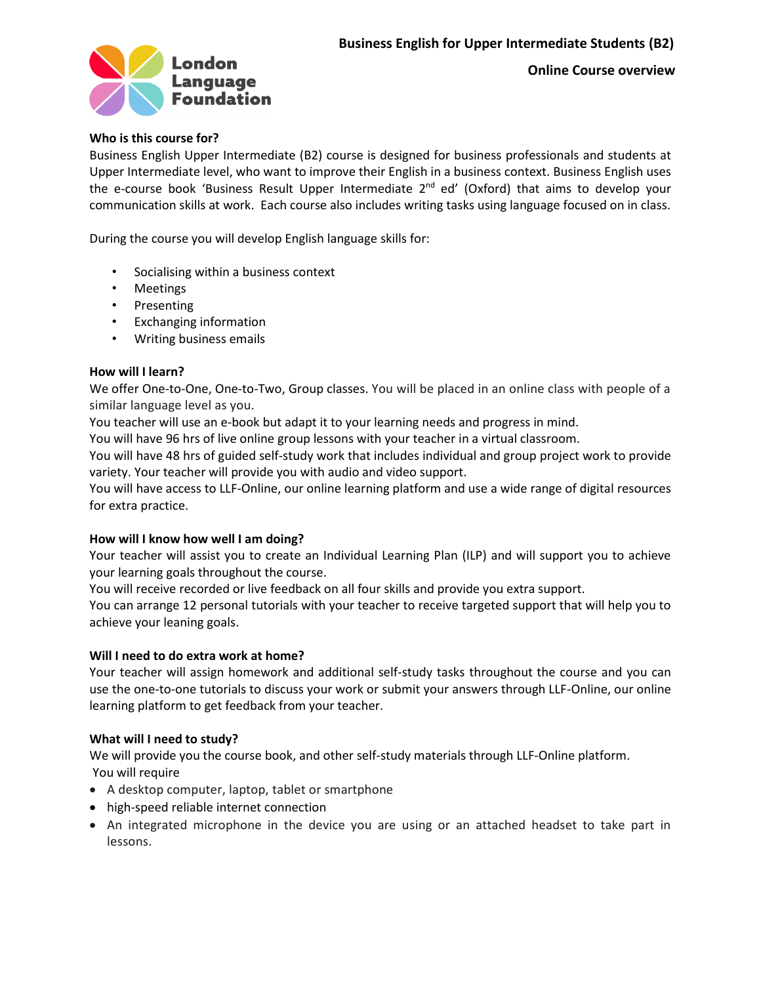

 **Online Course overview**

# **Who is this course for?**

Business English Upper Intermediate (B2) course is designed for business professionals and students at Upper Intermediate level, who want to improve their English in a business context. Business English uses the e-course book 'Business Result Upper Intermediate 2<sup>nd</sup> ed' (Oxford) that aims to develop your communication skills at work. Each course also includes writing tasks using language focused on in class.

During the course you will develop English language skills for:

- Socialising within a business context
- Meetings
- Presenting
- Exchanging information
- Writing business emails

## **How will I learn?**

We offer One-to-One, One-to-Two, Group classes. You will be placed in an online class with people of a similar language level as you.

You teacher will use an e-book but adapt it to your learning needs and progress in mind.

You will have 96 hrs of live online group lessons with your teacher in a virtual classroom.

You will have 48 hrs of guided self-study work that includes individual and group project work to provide variety. Your teacher will provide you with audio and video support.

You will have access to LLF-Online, our online learning platform and use a wide range of digital resources for extra practice.

## **How will I know how well I am doing?**

Your teacher will assist you to create an Individual Learning Plan (ILP) and will support you to achieve your learning goals throughout the course.

You will receive recorded or live feedback on all four skills and provide you extra support.

You can arrange 12 personal tutorials with your teacher to receive targeted support that will help you to achieve your leaning goals.

## **Will I need to do extra work at home?**

Your teacher will assign homework and additional self-study tasks throughout the course and you can use the one-to-one tutorials to discuss your work or submit your answers through LLF-Online, our online learning platform to get feedback from your teacher.

## **What will I need to study?**

We will provide you the course book, and other self-study materials through LLF-Online platform. You will require

- A desktop computer, laptop, tablet or smartphone
- high-speed reliable internet connection
- An integrated microphone in the device you are using or an attached headset to take part in lessons.